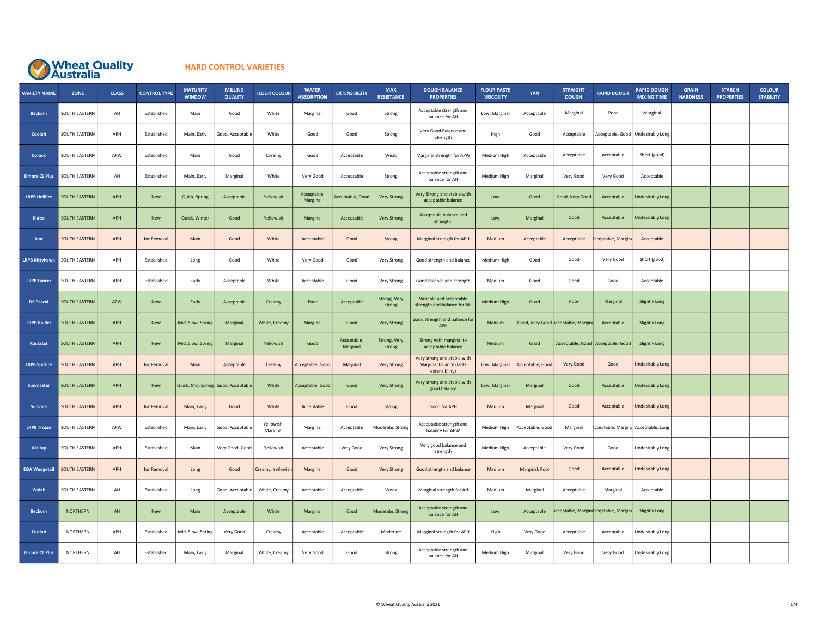

## HARD CONTROL VARIETIES

| <b>VARIETY NAME</b>   | <b>ZONE</b>          | <b>CLASS</b> | <b>CONTROL TYPE</b> | <b>MATURITY</b><br><b>WINDOW</b> | <b>MILLING</b><br><b>QUALITY</b>    | <b>FLOUR COLOUR</b>    | <b>WATER</b><br><b>ABSORPTION</b> | <b>EXTENSIBILITY</b>    | <b>MAX</b><br><b>RESISTANCE</b> | <b>DOUGH BALANCE</b><br><b>PROPERTIES</b>                                | <b>FLOUR PASTE</b><br><b>VISCOSITY</b> | YAN              | <b>STRAIGHT</b><br><b>DOUGH</b>     | <b>RAPID DOUGH</b>                  | <b>RAPID DOUGH</b><br><b>MIXING TIME</b> | <b>GRAIN</b><br><b>HARDNESS</b> | <b>STARCH</b><br><b>PROPERTIES</b> | <b>COLOUR</b><br><b>STABILITY</b> |
|-----------------------|----------------------|--------------|---------------------|----------------------------------|-------------------------------------|------------------------|-----------------------------------|-------------------------|---------------------------------|--------------------------------------------------------------------------|----------------------------------------|------------------|-------------------------------------|-------------------------------------|------------------------------------------|---------------------------------|------------------------------------|-----------------------------------|
| <b>Beckom</b>         | SOUTH EASTERN        | AH           | Established         | Main                             | Good                                | White                  | Marginal                          | Good                    | Strong                          | Acceptable strength and<br>balance for AH                                | Low, Marginal                          | Acceptable       | Marginal                            | Poor                                | Marginal                                 |                                 |                                    |                                   |
| Coolah                | SOUTH EASTERN        | APH          | Established         | Main, Early                      | Good, Acceptable                    | White                  | Good                              | Good                    | Strong                          | Very Good Balance and<br>Strength                                        | High                                   | Good             | Acceptable                          | Acceptable, Good                    | Undesirably Long                         |                                 |                                    |                                   |
| Corack                | SOUTH EASTERN        | APW          | Established         | Main                             | Good                                | Creamy                 | Good                              | Acceptable              | Weak                            | Marginal strength for APW                                                | Medium High                            | Acceptable       | Acceptable                          | Acceptable                          | Short (good)                             |                                 |                                    |                                   |
| <b>Elmore CL Plus</b> | SOUTH EASTERN        | AH           | Established         | Main, Early                      | Marginal                            | White                  | Very Good                         | Acceptable              | Strong                          | Acceptable strength and<br>balance for AH                                | Medium High                            | Marginal         | Very Good                           | Very Good                           | Acceptable                               |                                 |                                    |                                   |
| <b>LRPB Hellfire</b>  | <b>SOUTH EASTERN</b> | APH          | New                 | Quick, Spring                    | Acceptable                          | Yellowish              | Acceptable,<br>Marginal           | Acceptable, Good        | <b>Very Strong</b>              | Very Strong and stable with<br>acceptable balance                        | Low                                    | Good             | Good, Very Good                     | Acceptable                          | <b>Undesirably Long</b>                  |                                 |                                    |                                   |
| Illabo                | <b>SOUTH EASTERN</b> | APH          | <b>New</b>          | Quick, Winter                    | Good                                | Yellowish              | Marginal                          | Acceptable              | <b>Very Strong</b>              | Acceptable balance and<br>strength.                                      | Low                                    | Marginal         | Good                                | Acceptable                          | <b>Undesirably Long</b>                  |                                 |                                    |                                   |
| Janz                  | SOUTH EASTERN        | APH          | for Removal         | Main                             | Good                                | White                  | Acceptable                        | Good                    | Strong                          | Marginal strength for APH                                                | Medium                                 | Acceptable       | Acceptable                          | <b>Acceptable, Margina</b>          | Acceptable                               |                                 |                                    |                                   |
| <b>LRPB Kittyhawk</b> | SOUTH EASTERN        | APH          | Established         | Long                             | Good                                | White                  | Very Good                         | Good                    | Very Strong                     | Good strength and balance                                                | Medium High                            | Good             | Good                                | Very Good                           | Short (good)                             |                                 |                                    |                                   |
| <b>LRPB Lancer</b>    | SOUTH EASTERN        | APH          | Established         | Early                            | Acceptable                          | White                  | Acceptable                        | Good                    | Very Strong                     | Good balance and strength                                                | Medium                                 | Good             | Good                                | Good                                | Acceptable                               |                                 |                                    |                                   |
| <b>DS Pascal</b>      | SOUTH EASTERN        | APW          | New                 | Early                            | Acceptable                          | Creamy                 | Poor                              | Acceptable              | Strong, Very<br>Strong          | Variable and acceptable<br>strength and balance for AH                   | <b>Medium High</b>                     | Good             | Poor                                | Marginal                            | <b>Slightly Long</b>                     |                                 |                                    |                                   |
| <b>LRPB Raider</b>    | SOUTH EASTERN        | APH          | New                 | Mid, Slow, Spring                | Marginal                            | White, Creamy          | Marginal                          | Good                    | <b>Very Strong</b>              | Good strength and balance for<br>APH                                     | Medium                                 |                  | Good, Very Good Acceptable, Margina | Acceptable                          | <b>Slightly Long</b>                     |                                 |                                    |                                   |
| Rockstar              | <b>SOUTH EASTERN</b> | APH          | New                 | Mid, Slow, Spring                | Marginal                            | Yellowish              | Good                              | Acceptable,<br>Marginal | Strong, Very<br>Strong          | Strong with marginal to<br>acceptable balance                            | Medium                                 | Good             | Acceptable, Good                    | Acceptable, Good                    | <b>Slightly Long</b>                     |                                 |                                    |                                   |
| <b>LRPB Spitfire</b>  | <b>SOUTH EASTERN</b> | APH          | for Removal         | Main                             | Acceptable                          | Creamy                 | Acceptable, Good                  | Marginal                | Very Strong                     | Very strong and stable with<br>Marginal balance (lacks<br>extensibility) | Low, Marginal                          | Acceptable, Good | Very Good                           | Good                                | Undesirably Long                         |                                 |                                    |                                   |
| Sunmaster             | SOUTH EASTERN        | APH          | <b>New</b>          |                                  | Quick, Mid, Spring Good, Acceptable | White                  | Acceptable, Good                  | Good                    | Very Strong                     | Very strong and stable with<br>good balance                              | Low, Marginal                          | Marginal         | Good                                | Acceptable                          | <b>Undesirably Long</b>                  |                                 |                                    |                                   |
| Sunvale               | SOUTH EASTERN        | APH          | for Removal         | Main, Early                      | Good                                | White                  | Acceptable                        | Good                    | Strong                          | Good for APH                                                             | Medium                                 | Marginal         | Good                                | Acceptable                          | <b>Undesirably Long</b>                  |                                 |                                    |                                   |
| <b>LRPB Trojan</b>    | SOUTH EASTERN        | APW          | Established         | Main, Early                      | Good, Acceptable                    | Yellowish.<br>Marginal | Marginal                          | Acceptable              | Moderate, Strong                | Acceptable strength and<br>balance for APW                               | Medium High                            | Acceptable, Good | Marginal                            |                                     | cceptable, Margina Acceptable, Long      |                                 |                                    |                                   |
| Wallup                | SOUTH EASTERN        | APH          | Established         | Main                             | Very Good, Good                     | Yellowish              | Acceptable                        | Very Good               | Very Strong                     | Very good balance and<br>strength                                        | Medium High                            | Acceptable       | Very Good                           | Good                                | Undesirably Long                         |                                 |                                    |                                   |
| <b>EGA Wedgetail</b>  | SOUTH EASTERN        | APH          | for Removal         | Long                             | Good                                | Creamy, Yellowis       | Marginal                          | Good                    | <b>Very Strong</b>              | Good strength and balance                                                | Medium                                 | Marginal, Poor   | Good                                | Acceptable                          | Undesirably Long                         |                                 |                                    |                                   |
| Wylah                 | SOUTH EASTERN        | AH           | Established         | Long                             | Good, Acceptable                    | White, Creamy          | Acceptable                        | Acceptable              | Weak                            | Marginal strength for AH                                                 | Medium                                 | Marginal         | Acceptable                          | Marginal                            | Acceptable                               |                                 |                                    |                                   |
| <b>Beckom</b>         | <b>NORTHERN</b>      | AH           | New                 | Main                             | Acceptable                          | White                  | Marginal                          | Good                    | Moderate, Strong                | Acceptable strength and<br>balance for AH                                | Low                                    | Acceptable       |                                     | cceptable, Marginacceptable, Margin | <b>Slightly Long</b>                     |                                 |                                    |                                   |
| Coolah                | NORTHERN             | APH          | Established         | Mid, Slow, Spring                | Very Good                           | Creamy                 | Acceptable                        | Acceptable              | Moderate                        | Marginal strength for APH                                                | High                                   | Very Good        | Acceptable                          | Acceptable                          | Undesirably Long                         |                                 |                                    |                                   |
| <b>Elmore CL Plus</b> | NORTHERN             | AH           | Established         | Main, Early                      | Marginal                            | White, Creamy          | Very Good                         | Good                    | Strong                          | Acceptable strength and<br>balance for AH                                | Medium High                            | Marginal         | Very Good                           | Very Good                           | Undesirably Long                         |                                 |                                    |                                   |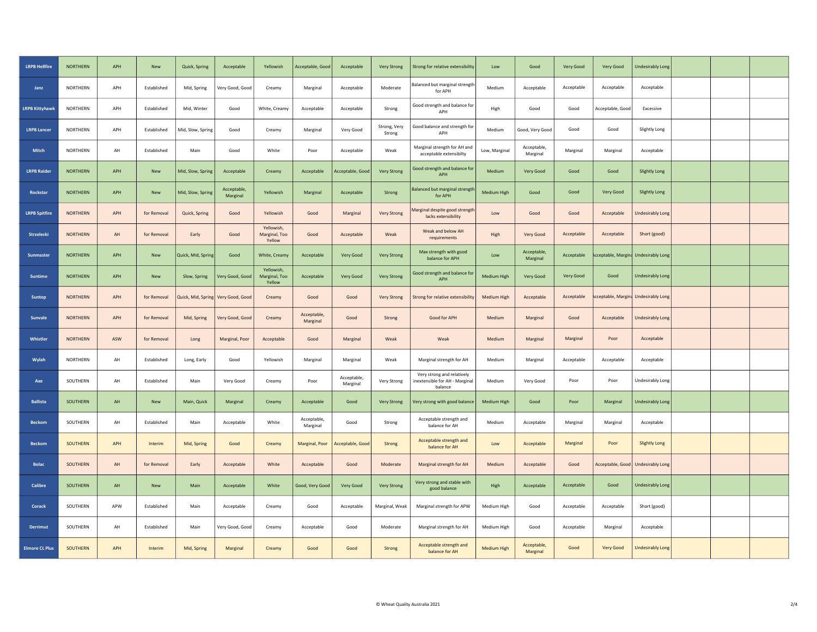| <b>LRPB Hellfire</b>  | <b>NORTHERN</b> | APH | New         | Quick, Spring      | Acceptable                         | Yellowish                             | Acceptable, Good        | Acceptable              | <b>Very Strong</b>     | Strong for relative extensibility                                       | Low                | Good                    | Very Good  | Very Good                           | <b>Undesirably Long</b>             |  |  |
|-----------------------|-----------------|-----|-------------|--------------------|------------------------------------|---------------------------------------|-------------------------|-------------------------|------------------------|-------------------------------------------------------------------------|--------------------|-------------------------|------------|-------------------------------------|-------------------------------------|--|--|
| Janz                  | NORTHERN        | APH | Established | Mid, Spring        | Very Good, Good                    | Creamy                                | Marginal                | Acceptable              | Moderate               | Balanced but marginal strength<br>for APH                               | Medium             | Acceptable              | Acceptable | Acceptable                          | Acceptable                          |  |  |
| <b>LRPB Kittyhawk</b> | NORTHERN        | APH | Established | Mid, Winter        | Good                               | White, Creamy                         | Acceptable              | Acceptable              | Strong                 | Good strength and balance for<br>APH                                    | High               | Good                    | Good       | Acceptable, Good                    | Excessive                           |  |  |
| <b>LRPB Lancer</b>    | NORTHERN        | APH | Established | Mid, Slow, Spring  | Good                               | Creamy                                | Marginal                | Very Good               | Strong, Very<br>Strong | Good balance and strength for<br>APH                                    | Medium             | Good, Very Good         | Good       | Good                                | Slightly Long                       |  |  |
| <b>Mitch</b>          | NORTHERN        | AH  | Established | Main               | Good                               | White                                 | Poor                    | Acceptable              | Weak                   | Marginal strength for AH and<br>acceptable extensibilty                 | Low, Marginal      | Acceptable,<br>Marginal | Marginal   | Marginal                            | Acceptable                          |  |  |
| <b>LRPB Raider</b>    | <b>NORTHERN</b> | APH | <b>New</b>  | Mid, Slow, Spring  | Acceptable                         | Creamy                                | Acceptable              | Acceptable, Good        | <b>Very Strong</b>     | Good strength and balance for<br>APH                                    | Medium             | Very Good               | Good       | Good                                | <b>Slightly Long</b>                |  |  |
| Rockstar              | <b>NORTHERN</b> | APH | New         | Mid, Slow, Spring  | Acceptable<br>Marginal             | Yellowish                             | Marginal                | Acceptable              | Strong                 | Balanced but marginal strength<br>for APH                               | Medium High        | Good                    | Good       | Very Good                           | <b>Slightly Long</b>                |  |  |
| <b>LRPB Spitfire</b>  | <b>NORTHERN</b> | APH | for Removal | Quick, Spring      | Good                               | Yellowish                             | Good                    | Marginal                | Very Strong            | Marginal despite good strength<br>lacks extensibility                   | Low                | Good                    | Good       | Acceptable                          | Undesirably Long                    |  |  |
| Strzelecki            | <b>NORTHERN</b> | AH  | for Removal | Early              | Good                               | Yellowish,<br>Marginal, Too<br>Yellow | Good                    | Acceptable              | Weak                   | Weak and below AH<br>requirements                                       | High               | Very Good               | Acceptable | Acceptable                          | Short (good)                        |  |  |
| Sunmaster             | <b>NORTHERN</b> | APH | New         | Quick, Mid, Spring | Good                               | White, Creamy                         | Acceptable              | Very Good               | <b>Very Strong</b>     | Max strength with good<br>balance for APH                               | Low                | Acceptable,<br>Marginal | Acceptable | cceptable, Margina Undesirably Long |                                     |  |  |
| Suntime               | <b>NORTHERN</b> | APH | New         | Slow, Spring       | Very Good, Good                    | Yellowish.<br>Marginal, Too<br>Yellow | Acceptable              | Very Good               | <b>Very Strong</b>     | Good strength and balance for<br>APH                                    | <b>Medium High</b> | Very Good               | Very Good  | Good                                | <b>Undesirably Long</b>             |  |  |
| <b>Suntop</b>         | <b>NORTHERN</b> | APH | for Removal |                    | Quick, Mid, Spring Very Good, Good | Creamy                                | Good                    | Good                    | Very Strong            | Strong for relative extensibility                                       | Medium High        | Acceptable              | Acceptable | cceptable, Margina Undesirably Long |                                     |  |  |
| <b>Sunvale</b>        | <b>NORTHERN</b> | APH | for Removal | Mid, Spring        | Very Good, Good                    | Creamy                                | Acceptable,<br>Marginal | Good                    | Strong                 | Good for APH                                                            | Medium             | Marginal                | Good       | Acceptable                          | <b>Undesirably Long</b>             |  |  |
| Whistler              | <b>NORTHERN</b> | ASW | for Removal | Long               | Marginal, Poor                     | Acceptable                            | Good                    | Marginal                | Weak                   | Weak                                                                    | Medium             | Marginal                | Marginal   | Poor                                | Acceptable                          |  |  |
| Wylah                 | NORTHERN        | AH  | Established | Long, Early        | Good                               | Yellowish                             | Marginal                | Marginal                | Weak                   | Marginal strength for AH                                                | Medium             | Marginal                | Acceptable | Acceptable                          | Acceptable                          |  |  |
| Axe                   | SOUTHERN        | AH  | Established | Main               | Very Good                          | Creamy                                | Poor                    | Acceptable,<br>Marginal | Very Strong            | Very strong and relatively<br>inextensible for AH - Marginal<br>balance | Medium             | Very Good               | Poor       | Poor                                | Undesirably Long                    |  |  |
| <b>Ballista</b>       | SOUTHERN        | AH  | <b>New</b>  | Main, Quick        | Marginal                           | Creamy                                | Acceptable              | Good                    | Very Strong            | Very strong with good balance                                           | <b>Medium High</b> | Good                    | Poor       | Marginal                            | <b>Undesirably Long</b>             |  |  |
| <b>Beckom</b>         | SOUTHERN        | AH  | Established | Main               | Acceptable                         | White                                 | Acceptable,<br>Marginal | Good                    | Strong                 | Acceptable strength and<br>balance for AH                               | Medium             | Acceptable              | Marginal   | Marginal                            | Acceptable                          |  |  |
| <b>Beckom</b>         | SOUTHERN        | APH | Interim     | Mid, Spring        | Good                               | Creamy                                | Marginal, Poor          | Acceptable, Good        | Strong                 | Acceptable strength and<br>balance for AH                               | Low                | Acceptable              | Marginal   | Poor                                | <b>Slightly Long</b>                |  |  |
| <b>Bolac</b>          | SOUTHERN        | AH  | for Removal | Early              | Acceptable                         | White                                 | Acceptable              | Good                    | Moderate               | Marginal strength for AH                                                | Medium             | Acceptable              | Good       |                                     | Acceptable, Good   Undesirably Long |  |  |
| Calibre               | SOUTHERN        | AH  | New         | Main               | Acceptable                         | White                                 | Good, Very Good         | Very Good               | <b>Very Strong</b>     | Very strong and stable with<br>good balance                             | High               | Acceptable              | Acceptable | Good                                | <b>Undesirably Long</b>             |  |  |
| Corack                | SOUTHERN        | APW | Established | Main               | Acceptable                         | Creamy                                | Good                    | Acceptable              | Marginal, Weak         | Marginal strength for APW                                               | Medium High        | Good                    | Acceptable | Acceptable                          | Short (good)                        |  |  |
| Derrimut              | SOUTHERN        | AH  | Established | Main               | Very Good, Good                    | Creamy                                | Acceptable              | Good                    | Moderate               | Marginal strength for AH                                                | Medium High        | Good                    | Acceptable | Marginal                            | Acceptable                          |  |  |
| <b>Elmore CL Plus</b> | SOUTHERN        | APH | Interim     | Mid, Spring        | Marginal                           | Creamy                                | Good                    | Good                    | Strong                 | Acceptable strength and<br>balance for AH                               | Medium High        | Acceptable,<br>Marginal | Good       | Very Good                           | <b>Undesirably Long</b>             |  |  |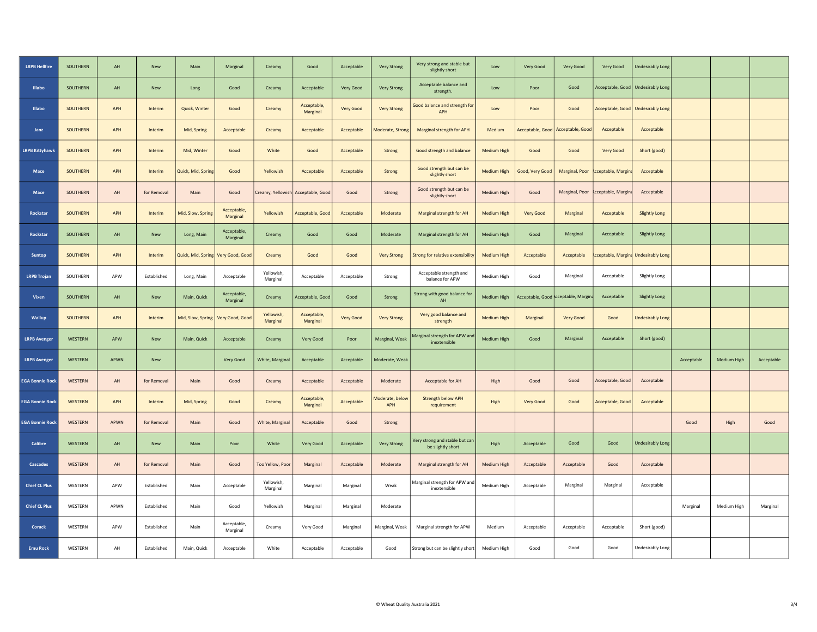| <b>LRPB Hellfire</b>   | SOUTHERN       | $\mathsf{AH}$ | New         | Main               | Marginal                | Creamy                 | Good                    | Acceptable | <b>Very Strong</b>     | Very strong and stable but<br>slightly short        | Low                | Very Good       | Very Good                           | Very Good                  | <b>Undesirably Long</b>             |            |             |            |
|------------------------|----------------|---------------|-------------|--------------------|-------------------------|------------------------|-------------------------|------------|------------------------|-----------------------------------------------------|--------------------|-----------------|-------------------------------------|----------------------------|-------------------------------------|------------|-------------|------------|
| <b>Illabo</b>          | SOUTHERN       | AH            | <b>New</b>  | Long               | Good                    | Creamy                 | Acceptable              | Very Good  | <b>Very Strong</b>     | Acceptable balance and<br>strength.                 | Low                | Poor            | Good                                | Acceptable, Good           | <b>Undesirably Long</b>             |            |             |            |
| Illabo                 | SOUTHERN       | APH           | Interim     | Quick, Winter      | Good                    | Creamy                 | Acceptable,<br>Marginal | Very Good  | <b>Very Strong</b>     | Good balance and strength for<br><b>APH</b>         | Low                | Poor            | Good                                |                            | Acceptable, Good   Undesirably Long |            |             |            |
| Janz                   | SOUTHERN       | APH           | Interim     | Mid, Spring        | Acceptable              | Creamy                 | Acceptable              | Acceptable | Moderate, Strong       | Marginal strength for APH                           | <b>Medium</b>      |                 | Acceptable, Good   Acceptable, Good | Acceptable                 | Acceptable                          |            |             |            |
| <b>LRPB Kittyhawl</b>  | SOUTHERN       | APH           | Interim     | Mid, Winter        | Good                    | White                  | Good                    | Acceptable | Strong                 | Good strength and balance                           | Medium High        | Good            | Good                                | Very Good                  | Short (good)                        |            |             |            |
| Mace                   | SOUTHERN       | APH           | Interim     | Quick, Mid, Spring | Good                    | Yellowish              | Acceptable              | Acceptable | Strong                 | Good strength but can be<br>slightly short          | Medium High        | Good, Very Good | Marginal, Poor                      | <b>Acceptable, Margina</b> | Acceptable                          |            |             |            |
| Mace                   | SOUTHERN       | AH            | for Removal | Main               | Good                    | Creamy, Yellowish      | Acceptable, Good        | Good       | Strong                 | Good strength but can be<br>slightly short          | Medium High        | Good            | Marginal, Poor                      | cceptable, Margina         | Acceptable                          |            |             |            |
| Rockstar               | SOUTHERN       | APH           | Interim     | Mid, Slow, Spring  | Acceptable,<br>Marginal | Yellowish              | Acceptable, Good        | Acceptable | Moderate               | Marginal strength for AH                            | <b>Medium High</b> | Very Good       | Marginal                            | Acceptable                 | <b>Slightly Long</b>                |            |             |            |
| Rockstar               | SOUTHERN       | AH            | New         | Long, Main         | Acceptable,<br>Marginal | Creamy                 | Good                    | Good       | Moderate               | Marginal strength for AH                            | Medium High        | Good            | Marginal                            | Acceptable                 | <b>Slightly Long</b>                |            |             |            |
| Suntop                 | SOUTHERN       | APH           | Interim     | Quick, Mid, Spring | Very Good, Good         | Creamy                 | Good                    | Good       | <b>Very Strong</b>     | Strong for relative extensibility                   | Medium High        | Acceptable      | Acceptable                          | <b>Acceptable, Margina</b> | <b>Undesirably Long</b>             |            |             |            |
| LRPB Trojan            | SOUTHERN       | APW           | Established | Long, Main         | Acceptable              | Yellowish<br>Marginal  | Acceptable              | Acceptable | Strong                 | Acceptable strength and<br>balance for APW          | Medium High        | Good            | Marginal                            | Acceptable                 | Slightly Long                       |            |             |            |
| Vixen                  | SOUTHERN       | AH            | New         | Main, Quick        | Acceptable,<br>Marginal | Creamy                 | Acceptable, Good        | Good       | Strong                 | Strong with good balance for<br>AH                  | Medium High        |                 | Acceptable, Good cceptable, Margina | Acceptable                 | Slightly Long                       |            |             |            |
| Wallup                 | SOUTHERN       | APH           | Interim     | Mid, Slow, Spring  | Very Good, Good         | Yellowish.<br>Marginal | Acceptable,<br>Marginal | Very Good  | <b>Very Strong</b>     | Very good balance and<br>strength                   | <b>Medium High</b> | Marginal        | Very Good                           | Good                       | <b>Undesirably Long</b>             |            |             |            |
| <b>LRPB Avenger</b>    | WESTERN        | <b>APW</b>    | New         | Main, Quick        | Acceptable              | Creamy                 | Very Good               | Poor       | Marginal, Weak         | Marginal strength for APW and<br>inextensible       | Medium High        | Good            | Marginal                            | Acceptable                 | Short (good)                        |            |             |            |
| <b>LRPB Avenger</b>    | WESTERN        | APWN          | New         |                    | Very Good               | White, Marginal        | Acceptable              | Acceptable | Moderate, Weak         |                                                     |                    |                 |                                     |                            |                                     | Acceptable | Medium High | Acceptable |
| <b>EGA Bonnie Rock</b> | <b>WESTERN</b> | AH            | for Removal | Main               | Good                    | Creamy                 | Acceptable              | Acceptable | Moderate               | Acceptable for AH                                   | High               | Good            | Good                                | Acceptable, Good           | Acceptable                          |            |             |            |
| <b>EGA Bonnie Rock</b> | <b>WESTERN</b> | APH           | Interim     | Mid, Spring        | Good                    | Creamy                 | Acceptable,<br>Marginal | Acceptable | Moderate, below<br>APH | Strength below APH<br>requirement                   | High               | Very Good       | Good                                | Acceptable, Good           | Acceptable                          |            |             |            |
| <b>EGA Bonnie Rock</b> | WESTERN        | APWN          | for Removal | Main               | Good                    | White, Marginal        | Acceptable              | Good       | Strong                 |                                                     |                    |                 |                                     |                            |                                     | Good       | High        | Good       |
| Calibre                | WESTERN        | $\mathsf{AH}$ | New         | Main               | Poor                    | White                  | Very Good               | Acceptable | <b>Very Strong</b>     | Very strong and stable but can<br>be slightly short | High               | Acceptable      | Good                                | Good                       | Undesirably Long                    |            |             |            |
| <b>Cascades</b>        | WESTERN        | AH            | for Removal | Main               | Good                    | Too Yellow, Poor       | Marginal                | Acceptable | Moderate               | Marginal strength for AH                            | Medium High        | Acceptable      | Acceptable                          | Good                       | Acceptable                          |            |             |            |
| <b>Chief CL Plus</b>   | WESTERN        | APW           | Established | Main               | Acceptable              | Yellowish,<br>Marginal | Marginal                | Marginal   | Weak                   | Marginal strength for APW and<br>inextensible       | Medium High        | Acceptable      | Marginal                            | Marginal                   | Acceptable                          |            |             |            |
| <b>Chief CL Plus</b>   | WESTERN        | APWN          | Established | Main               | Good                    | Yellowish              | Marginal                | Marginal   | Moderate               |                                                     |                    |                 |                                     |                            |                                     | Marginal   | Medium High | Marginal   |
| Corack                 | WESTERN        | APW           | Established | Main               | Acceptable,<br>Marginal | Creamy                 | Very Good               | Marginal   | Marginal, Weak         | Marginal strength for APW                           | Medium             | Acceptable      | Acceptable                          | Acceptable                 | Short (good)                        |            |             |            |
| <b>Emu Rock</b>        | WESTERN        | AH            | Established | Main, Quick        | Acceptable              | White                  | Acceptable              | Acceptable | Good                   | Strong but can be slightly short                    | Medium High        | Good            | Good                                | Good                       | Undesirably Long                    |            |             |            |